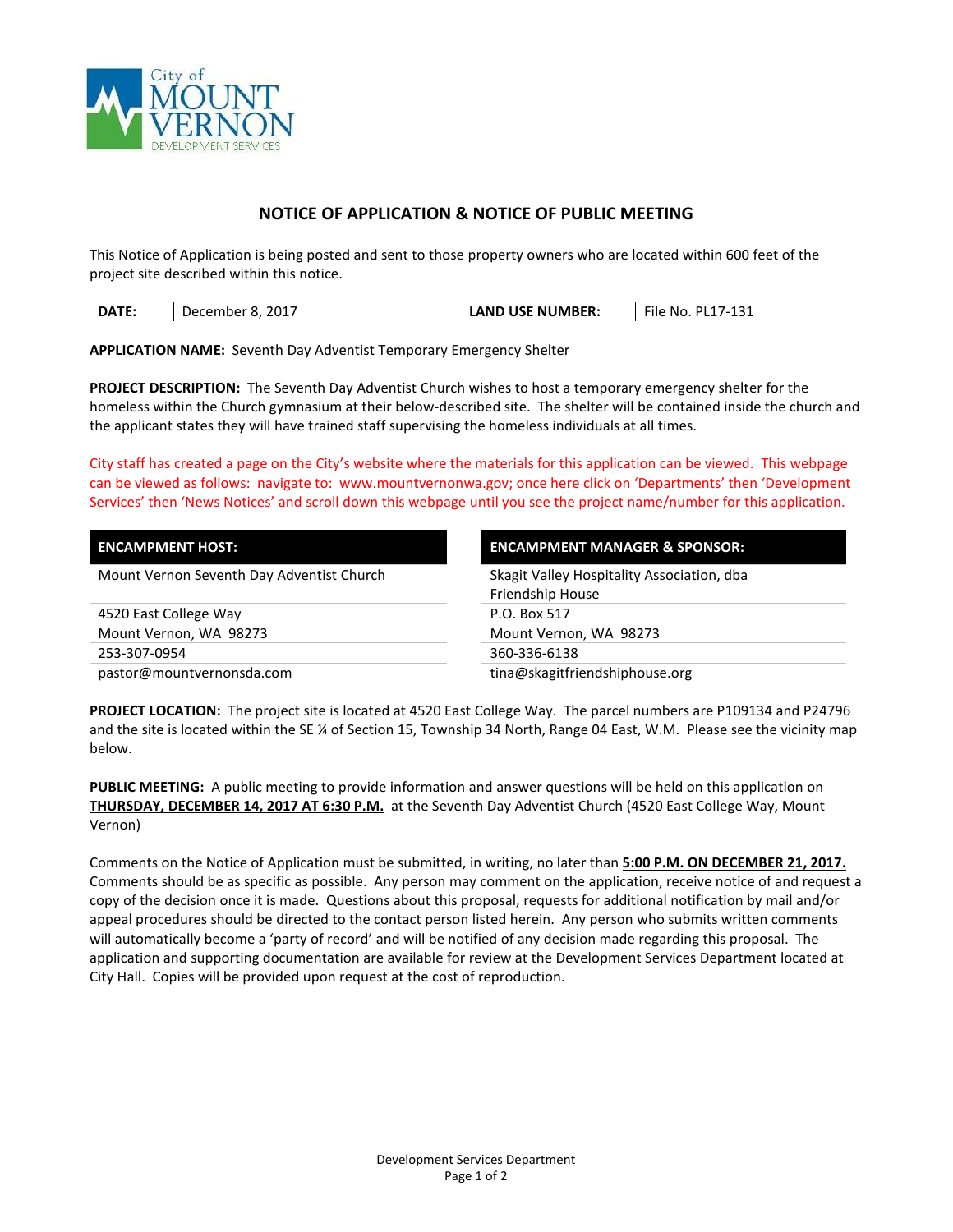

## **NOTICE OF APPLICATION & NOTICE OF PUBLIC MEETING**

This Notice of Application is being posted and sent to those property owners who are located within 600 feet of the project site described within this notice.

**DATE:** December 8, 2017 **LAND USE NUMBER:** File No. PL17-131

**APPLICATION NAME:** Seventh Day Adventist Temporary Emergency Shelter

**PROJECT DESCRIPTION:** The Seventh Day Adventist Church wishes to host a temporary emergency shelter for the homeless within the Church gymnasium at their below-described site. The shelter will be contained inside the church and the applicant states they will have trained staff supervising the homeless individuals at all times.

City staff has created a page on the City's website where the materials for this application can be viewed. This webpage can be viewed as follows: navigate to: [www.mountvernonwa.gov;](http://www.mountvernonwa.gov/) once here click on 'Departments' then 'Development Services' then 'News Notices' and scroll down this webpage until you see the project name/number for this application.

| <b>ENCAMPMENT HOST:</b>                   | <b>ENCAMPMENT MANAGER &amp; SPONSOR:</b>   |  |
|-------------------------------------------|--------------------------------------------|--|
| Mount Vernon Seventh Day Adventist Church | Skagit Valley Hospitality Association, dba |  |
|                                           | Friendship House                           |  |
| 4520 East College Way                     | P.O. Box 517                               |  |
| Mount Vernon, WA 98273                    | Mount Vernon, WA 98273                     |  |
| 253-307-0954                              | 360-336-6138                               |  |
| pastor@mountvernonsda.com                 | tina@skagitfriendshiphouse.org             |  |

**PROJECT LOCATION:** The project site is located at 4520 East College Way. The parcel numbers are P109134 and P24796 and the site is located within the SE ¼ of Section 15, Township 34 North, Range 04 East, W.M. Please see the vicinity map below.

**PUBLIC MEETING:** A public meeting to provide information and answer questions will be held on this application on **THURSDAY, DECEMBER 14, 2017 AT 6:30 P.M.** at the Seventh Day Adventist Church (4520 East College Way, Mount Vernon)

Comments on the Notice of Application must be submitted, in writing, no later than **5:00 P.M. ON DECEMBER 21, 2017.** Comments should be as specific as possible. Any person may comment on the application, receive notice of and request a copy of the decision once it is made. Questions about this proposal, requests for additional notification by mail and/or appeal procedures should be directed to the contact person listed herein. Any person who submits written comments will automatically become a 'party of record' and will be notified of any decision made regarding this proposal.The application and supporting documentation are available for review at the Development Services Department located at City Hall. Copies will be provided upon request at the cost of reproduction.